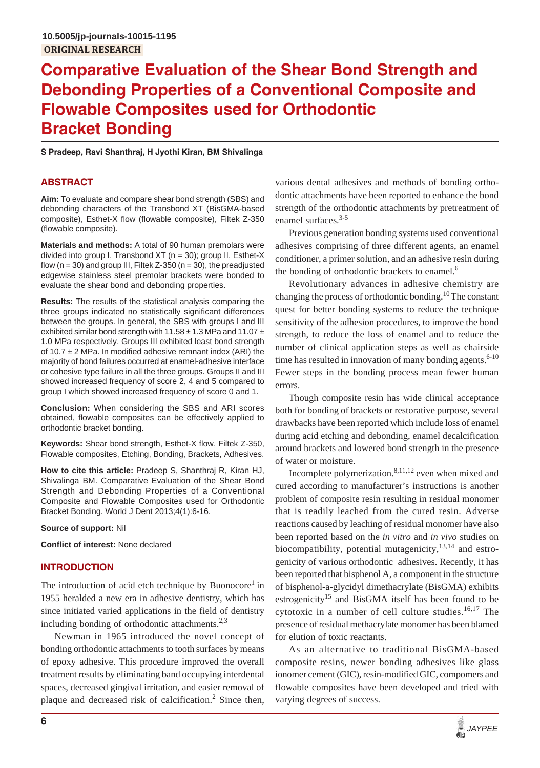# **Comparative Evaluation of the Shear Bond Strength and Debonding Properties of a Conventional Composite and Flowable Composites used for Orthodontic Bracket Bonding**

**S Pradeep, Ravi Shanthraj, H Jyothi Kiran, BM Shivalinga**

## **ABSTRACT**

**Aim:** To evaluate and compare shear bond strength (SBS) and debonding characters of the Transbond XT (BisGMA-based composite), Esthet-X flow (flowable composite), Filtek Z-350 (flowable composite).

**Materials and methods:** A total of 90 human premolars were divided into group I, Transbond XT (n = 30); group II, Esthet-X flow  $(n = 30)$  and group III, Filtek Z-350  $(n = 30)$ , the preadjusted edgewise stainless steel premolar brackets were bonded to evaluate the shear bond and debonding properties.

**Results:** The results of the statistical analysis comparing the three groups indicated no statistically significant differences between the groups. In general, the SBS with groups I and III exhibited similar bond strength with  $11.58 \pm 1.3$  MPa and  $11.07 \pm 1.3$ 1.0 MPa respectively. Groups III exhibited least bond strength of 10.7  $\pm$  2 MPa. In modified adhesive remnant index (ARI) the majority of bond failures occurred at enamel-adhesive interface or cohesive type failure in all the three groups. Groups II and III showed increased frequency of score 2, 4 and 5 compared to group I which showed increased frequency of score 0 and 1.

**Conclusion:** When considering the SBS and ARI scores obtained, flowable composites can be effectively applied to orthodontic bracket bonding.

**Keywords:** Shear bond strength, Esthet-X flow, Filtek Z-350, Flowable composites, Etching, Bonding, Brackets, Adhesives.

**How to cite this article:** Pradeep S, Shanthraj R, Kiran HJ, Shivalinga BM. Comparative Evaluation of the Shear Bond Strength and Debonding Properties of a Conventional Composite and Flowable Composites used for Orthodontic Bracket Bonding. World J Dent 2013;4(1):6-16.

**Source of support:** Nil

**Conflict of interest:** None declared

## **INTRODUCTION**

The introduction of acid etch technique by Buonocore<sup>1</sup> in 1955 heralded a new era in adhesive dentistry, which has since initiated varied applications in the field of dentistry including bonding of orthodontic attachments.<sup>2,3</sup>

Newman in 1965 introduced the novel concept of bonding orthodontic attachments to tooth surfaces by means of epoxy adhesive. This procedure improved the overall treatment results by eliminating band occupying interdental spaces, decreased gingival irritation, and easier removal of plaque and decreased risk of calcification.<sup>2</sup> Since then,

various dental adhesives and methods of bonding orthodontic attachments have been reported to enhance the bond strength of the orthodontic attachments by pretreatment of enamel surfaces.<sup>3-5</sup>

Previous generation bonding systems used conventional adhesives comprising of three different agents, an enamel conditioner, a primer solution, and an adhesive resin during the bonding of orthodontic brackets to enamel. $<sup>6</sup>$ </sup>

Revolutionary advances in adhesive chemistry are changing the process of orthodontic bonding.<sup>10</sup> The constant quest for better bonding systems to reduce the technique sensitivity of the adhesion procedures, to improve the bond strength, to reduce the loss of enamel and to reduce the number of clinical application steps as well as chairside time has resulted in innovation of many bonding agents.<sup>6-10</sup> Fewer steps in the bonding process mean fewer human errors.

Though composite resin has wide clinical acceptance both for bonding of brackets or restorative purpose, several drawbacks have been reported which include loss of enamel during acid etching and debonding, enamel decalcification around brackets and lowered bond strength in the presence of water or moisture.

Incomplete polymerization.8,11,12 even when mixed and cured according to manufacturer's instructions is another problem of composite resin resulting in residual monomer that is readily leached from the cured resin. Adverse reactions caused by leaching of residual monomer have also been reported based on the *in vitro* and *in vivo* studies on biocompatibility, potential mutagenicity,  $13,14$  and estrogenicity of various orthodontic adhesives. Recently, it has been reported that bisphenol A, a component in the structure of bisphenol-a-glycidyl dimethacrylate (BisGMA) exhibits estrogenicity<sup>15</sup> and BisGMA itself has been found to be cytotoxic in a number of cell culture studies.<sup>16,17</sup> The presence of residual methacrylate monomer has been blamed for elution of toxic reactants.

As an alternative to traditional BisGMA-based composite resins, newer bonding adhesives like glass ionomer cement (GIC), resin-modified GIC, compomers and flowable composites have been developed and tried with varying degrees of success.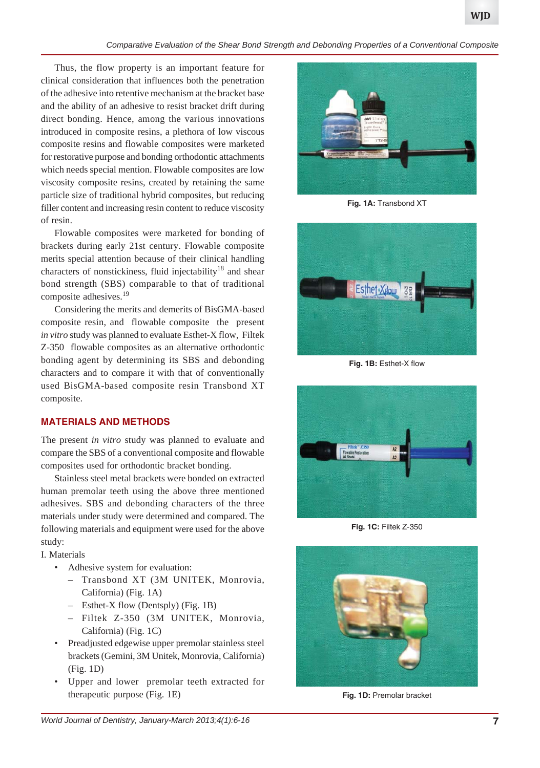*Comparative Evaluation of the Shear Bond Strength and Debonding Properties of a Conventional Composite*

Thus, the flow property is an important feature for clinical consideration that influences both the penetration of the adhesive into retentive mechanism at the bracket base and the ability of an adhesive to resist bracket drift during direct bonding. Hence, among the various innovations introduced in composite resins, a plethora of low viscous composite resins and flowable composites were marketed for restorative purpose and bonding orthodontic attachments which needs special mention. Flowable composites are low viscosity composite resins, created by retaining the same particle size of traditional hybrid composites, but reducing filler content and increasing resin content to reduce viscosity of resin.

Flowable composites were marketed for bonding of brackets during early 21st century. Flowable composite merits special attention because of their clinical handling characters of nonstickiness, fluid injectability<sup>18</sup> and shear bond strength (SBS) comparable to that of traditional composite adhesives.19

Considering the merits and demerits of BisGMA-based composite resin, and flowable composite the present *in vitro* study was planned to evaluate Esthet-X flow, Filtek Z-350 flowable composites as an alternative orthodontic bonding agent by determining its SBS and debonding characters and to compare it with that of conventionally used BisGMA-based composite resin Transbond XT composite.

## **MATERIALS AND METHODS**

The present *in vitro* study was planned to evaluate and compare the SBS of a conventional composite and flowable composites used for orthodontic bracket bonding.

Stainless steel metal brackets were bonded on extracted human premolar teeth using the above three mentioned adhesives. SBS and debonding characters of the three materials under study were determined and compared. The following materials and equipment were used for the above study:

I. Materials

- Adhesive system for evaluation:
	- Transbond XT (3M UNITEK, Monrovia, California) (Fig. 1A)
	- Esthet-X flow (Dentsply) (Fig. 1B)
	- Filtek Z-350 (3M UNITEK, Monrovia, California) (Fig. 1C)
- Preadjusted edgewise upper premolar stainless steel brackets (Gemini, 3M Unitek, Monrovia, California) (Fig. 1D)
- Upper and lower premolar teeth extracted for therapeutic purpose (Fig. 1E)



**Fig. 1A:** Transbond XT



**Fig. 1B:** Esthet-X flow



**Fig. 1C:** Filtek Z-350



**Fig. 1D:** Premolar bracket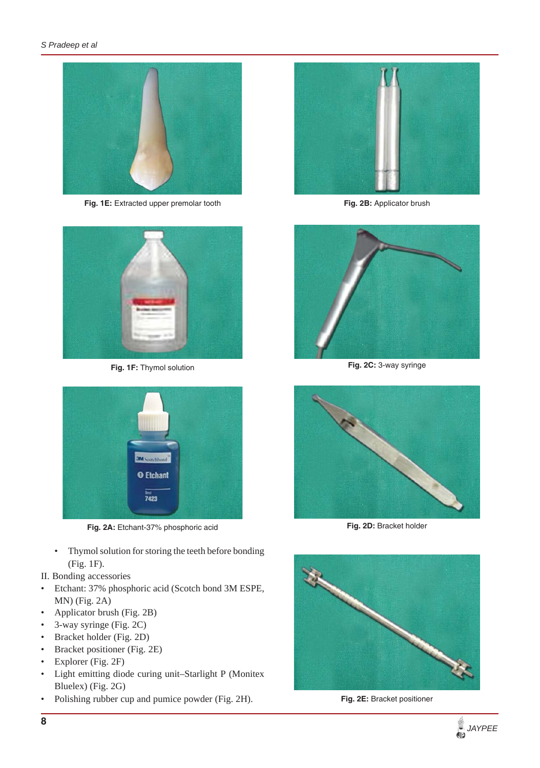

Fig. 1E: Extracted upper premolar tooth



**Fig. 1F:** Thymol solution



**Fig. 2A:** Etchant-37% phosphoric acid

- Thymol solution for storing the teeth before bonding (Fig. 1F).
- II. Bonding accessories
- Etchant: 37% phosphoric acid (Scotch bond 3M ESPE, MN) (Fig. 2A)
- Applicator brush (Fig. 2B)
- 3-way syringe (Fig. 2C)
- Bracket holder (Fig. 2D)
- Bracket positioner (Fig. 2E)
- Explorer (Fig. 2F)
- Light emitting diode curing unit–Starlight P (Monitex Bluelex) (Fig. 2G)
- Polishing rubber cup and pumice powder (Fig. 2H).



**Fig. 2B:** Applicator brush



**Fig. 2C:** 3-way syringe



**Fig. 2D:** Bracket holder



**Fig. 2E:** Bracket positioner

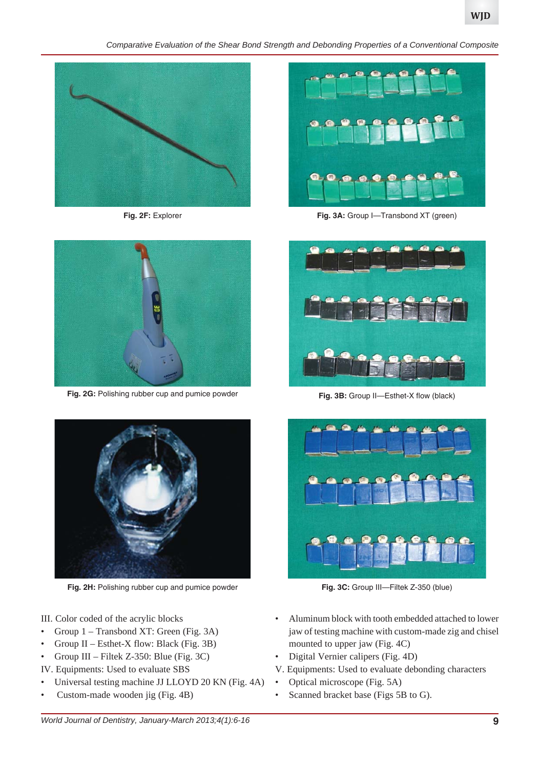*Comparative Evaluation of the Shear Bond Strength and Debonding Properties of a Conventional Composite*



**Fig. 2F:** Explorer



**Fig. 2G:** Polishing rubber cup and pumice powder



**Fig. 2H:** Polishing rubber cup and pumice powder

- III. Color coded of the acrylic blocks
- Group 1 Transbond XT: Green (Fig. 3A)
- Group II Esthet-X flow: Black (Fig. 3B)
- Group III Filtek Z-350: Blue (Fig. 3C)
- IV. Equipments: Used to evaluate SBS
- Universal testing machine JJ LLOYD 20 KN (Fig. 4A)
- Custom-made wooden jig (Fig. 4B)



Fig. 3A: Group I-Transbond XT (green)



Fig. 3B: Group II-Esthet-X flow (black)



**Fig. 3C:** Group III—Filtek Z-350 (blue)

- Aluminum block with tooth embedded attached to lower jaw of testing machine with custom-made zig and chisel mounted to upper jaw (Fig. 4C)
- Digital Vernier calipers (Fig. 4D)
- V. Equipments: Used to evaluate debonding characters
- Optical microscope (Fig. 5A)
- Scanned bracket base (Figs 5B to G).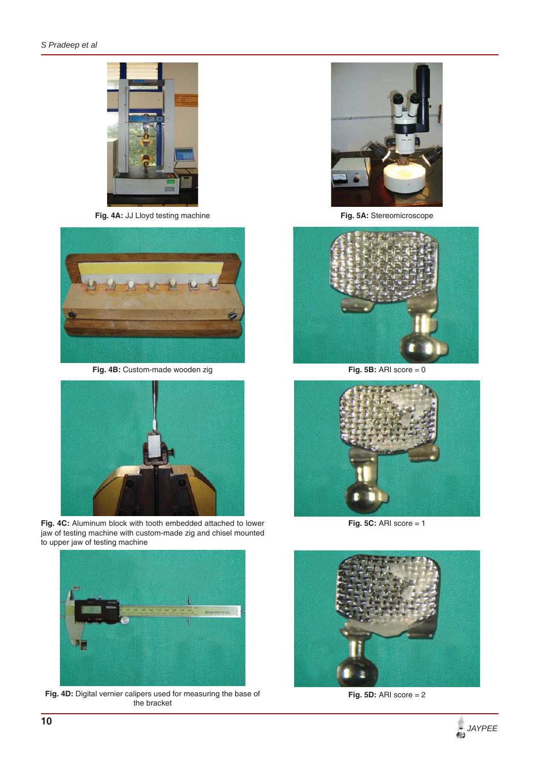

Fig. 4A: JJ Lloyd testing machine



**Fig. 4B:** Custom-made wooden zig



**Fig. 4C:** Aluminum block with tooth embedded attached to lower jaw of testing machine with custom-made zig and chisel mounted to upper jaw of testing machine



**Fig. 4D:** Digital vernier calipers used for measuring the base of the bracket



**Fig. 5A:** Stereomicroscope



**Fig. 5B:** ARI score = 0



**Fig. 5C: ARI score = 1** 



**Fig. 5D:** ARI score = 2

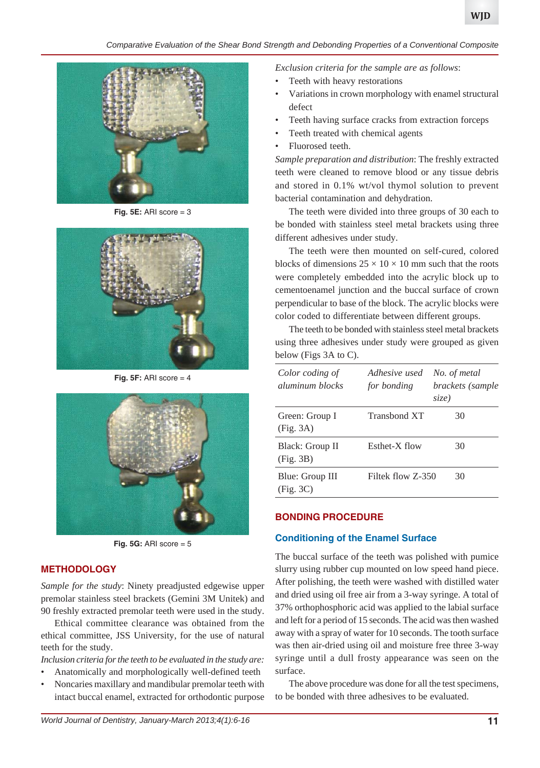

**Fig. 5E:** ARI score = 3



**Fig. 5F: ARI score = 4** 



**Fig. 5G:** ARI score = 5

#### **METHODOLOGY**

*Sample for the study*: Ninety preadjusted edgewise upper premolar stainless steel brackets (Gemini 3M Unitek) and 90 freshly extracted premolar teeth were used in the study.

Ethical committee clearance was obtained from the ethical committee, JSS University, for the use of natural teeth for the study.

*Inclusion criteria for the teeth to be evaluated in the study are:*

- Anatomically and morphologically well-defined teeth
- Noncaries maxillary and mandibular premolar teeth with intact buccal enamel, extracted for orthodontic purpose

*Exclusion criteria for the sample are as follows*:

- Teeth with heavy restorations
- Variations in crown morphology with enamel structural defect
- Teeth having surface cracks from extraction forceps
- Teeth treated with chemical agents
- Fluorosed teeth.

*Sample preparation and distribution*: The freshly extracted teeth were cleaned to remove blood or any tissue debris and stored in 0.1% wt/vol thymol solution to prevent bacterial contamination and dehydration.

The teeth were divided into three groups of 30 each to be bonded with stainless steel metal brackets using three different adhesives under study.

The teeth were then mounted on self-cured, colored blocks of dimensions  $25 \times 10 \times 10$  mm such that the roots were completely embedded into the acrylic block up to cementoenamel junction and the buccal surface of crown perpendicular to base of the block. The acrylic blocks were color coded to differentiate between different groups.

The teeth to be bonded with stainless steel metal brackets using three adhesives under study were grouped as given below (Figs 3A to C).

| Color coding of<br>aluminum blocks | Adhesive used<br>for bonding | No. of metal<br>brackets (sample<br>size) |
|------------------------------------|------------------------------|-------------------------------------------|
| Green: Group I<br>(Fig. 3A)        | Transbond XT                 | 30                                        |
| Black: Group II<br>(Fig. 3B)       | Esthet-X flow                | 30                                        |
| Blue: Group III<br>(Fig. 3C)       | Filtek flow Z-350            | 30                                        |

## **BONDING PROCEDURE**

#### **Conditioning of the Enamel Surface**

The buccal surface of the teeth was polished with pumice slurry using rubber cup mounted on low speed hand piece. After polishing, the teeth were washed with distilled water and dried using oil free air from a 3-way syringe. A total of 37% orthophosphoric acid was applied to the labial surface and left for a period of 15 seconds. The acid was then washed away with a spray of water for 10 seconds. The tooth surface was then air-dried using oil and moisture free three 3-way syringe until a dull frosty appearance was seen on the surface.

The above procedure was done for all the test specimens, to be bonded with three adhesives to be evaluated.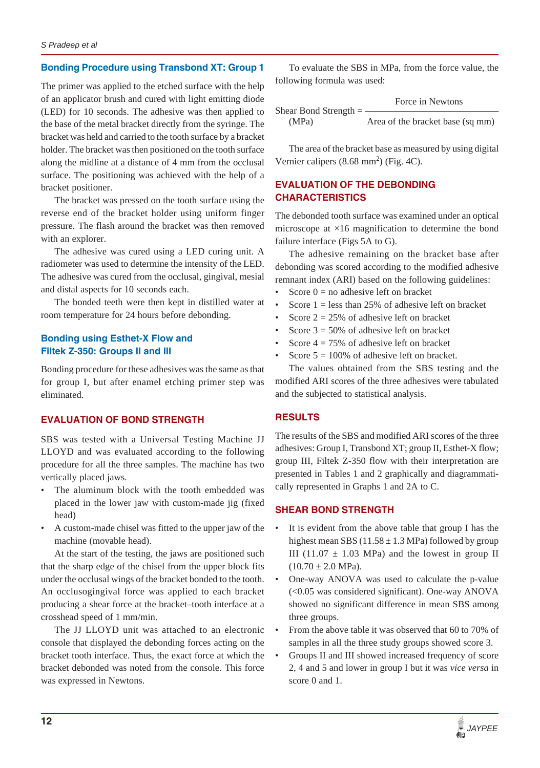## **Bonding Procedure using Transbond XT: Group 1**

The primer was applied to the etched surface with the help of an applicator brush and cured with light emitting diode (LED) for 10 seconds. The adhesive was then applied to the base of the metal bracket directly from the syringe. The bracket was held and carried to the tooth surface by a bracket holder. The bracket was then positioned on the tooth surface along the midline at a distance of 4 mm from the occlusal surface. The positioning was achieved with the help of a bracket positioner.

The bracket was pressed on the tooth surface using the reverse end of the bracket holder using uniform finger pressure. The flash around the bracket was then removed with an explorer.

The adhesive was cured using a LED curing unit. A radiometer was used to determine the intensity of the LED. The adhesive was cured from the occlusal, gingival, mesial and distal aspects for 10 seconds each.

The bonded teeth were then kept in distilled water at room temperature for 24 hours before debonding.

## **Bonding using Esthet-X Flow and Filtek Z-350: Groups II and III**

Bonding procedure for these adhesives was the same as that for group I, but after enamel etching primer step was eliminated.

#### **EVALUATION OF BOND STRENGTH**

SBS was tested with a Universal Testing Machine JJ LLOYD and was evaluated according to the following procedure for all the three samples. The machine has two vertically placed jaws.

- The aluminum block with the tooth embedded was placed in the lower jaw with custom-made jig (fixed head)
- A custom-made chisel was fitted to the upper jaw of the machine (movable head).

At the start of the testing, the jaws are positioned such that the sharp edge of the chisel from the upper block fits under the occlusal wings of the bracket bonded to the tooth. An occlusogingival force was applied to each bracket producing a shear force at the bracket–tooth interface at a crosshead speed of 1 mm/min.

The JJ LLOYD unit was attached to an electronic console that displayed the debonding forces acting on the bracket tooth interface. Thus, the exact force at which the bracket debonded was noted from the console. This force was expressed in Newtons.

To evaluate the SBS in MPa, from the force value, the following formula was used:

|                           | Force in Newtons                 |
|---------------------------|----------------------------------|
| Shear Bond Strength $=$ - |                                  |
| (MPa)                     | Area of the bracket base (sq mm) |

The area of the bracket base as measured by using digital Vernier calipers  $(8.68 \text{ mm}^2)$  (Fig. 4C).

# **EVALUATION OF THE DEBONDING CHARACTERISTICS**

The debonded tooth surface was examined under an optical microscope at ×16 magnification to determine the bond failure interface (Figs 5A to G).

The adhesive remaining on the bracket base after debonding was scored according to the modified adhesive remnant index (ARI) based on the following guidelines:

- Score  $0 =$  no adhesive left on bracket
- Score  $1 =$  less than 25% of adhesive left on bracket
- Score  $2 = 25\%$  of adhesive left on bracket
- Score  $3 = 50\%$  of adhesive left on bracket
- Score  $4 = 75\%$  of adhesive left on bracket
- Score  $5 = 100\%$  of adhesive left on bracket.

The values obtained from the SBS testing and the modified ARI scores of the three adhesives were tabulated and the subjected to statistical analysis.

## **RESULTS**

The results of the SBS and modified ARI scores of the three adhesives: Group I, Transbond XT; group II, Esthet-X flow; group III, Filtek Z-350 flow with their interpretation are presented in Tables 1 and 2 graphically and diagrammatically represented in Graphs 1 and 2A to C.

#### **SHEAR BOND STRENGTH**

- It is evident from the above table that group I has the highest mean SBS (11.58  $\pm$  1.3 MPa) followed by group III (11.07  $\pm$  1.03 MPa) and the lowest in group II  $(10.70 \pm 2.0 \text{ MPa}).$
- One-way ANOVA was used to calculate the p-value (<0.05 was considered significant). One-way ANOVA showed no significant difference in mean SBS among three groups.
- From the above table it was observed that 60 to 70% of samples in all the three study groups showed score 3.
- Groups II and III showed increased frequency of score 2, 4 and 5 and lower in group I but it was *vice versa* in score 0 and 1.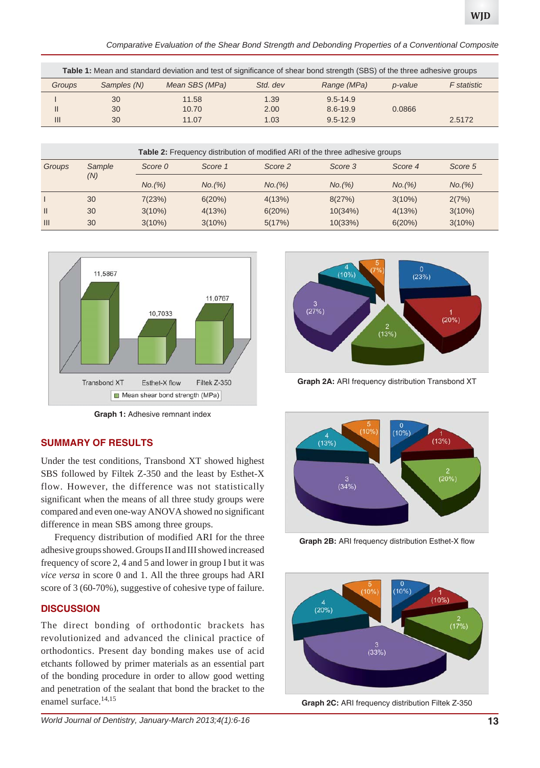*Comparative Evaluation of the Shear Bond Strength and Debonding Properties of a Conventional Composite*

| Table 1: Mean and standard deviation and test of significance of shear bond strength (SBS) of the three adhesive groups |             |                |          |              |         |             |  |
|-------------------------------------------------------------------------------------------------------------------------|-------------|----------------|----------|--------------|---------|-------------|--|
| Groups                                                                                                                  | Samples (N) | Mean SBS (MPa) | Std. dev | Range (MPa)  | p-value | F statistic |  |
|                                                                                                                         | 30          | 11.58          | 1.39     | 9.5-14.9     |         |             |  |
| $\mathsf{II}$                                                                                                           | 30          | 10.70          | 2.00     | 8.6-19.9     | 0.0866  |             |  |
| $\mathbf{III}$                                                                                                          | 30          | 11.07          | 1.03     | $9.5 - 12.9$ |         | 2.5172      |  |

| <b>Table 2:</b> Frequency distribution of modified ARI of the three adhesive groups |               |           |         |         |         |           |           |
|-------------------------------------------------------------------------------------|---------------|-----------|---------|---------|---------|-----------|-----------|
| Groups                                                                              | Sample<br>(N) | Score 0   | Score 1 | Score 2 | Score 3 | Score 4   | Score 5   |
|                                                                                     |               | No. (%)   | No. (%) | No. (%) | No. (%) | No. (%)   | No. (%)   |
|                                                                                     | 30            | 7(23%)    | 6(20%)  | 4(13%)  | 8(27%)  | $3(10\%)$ | 2(7%)     |
| $\mathbf{II}$                                                                       | 30            | $3(10\%)$ | 4(13%)  | 6(20%)  | 10(34%) | 4(13%)    | $3(10\%)$ |
| $\mathbf{III}$                                                                      | 30            | $3(10\%)$ | 3(10%)  | 5(17%)  | 10(33%) | 6(20%)    | $3(10\%)$ |



**Graph 1:** Adhesive remnant index

## **SUMMARY OF RESULTS**

Under the test conditions, Transbond XT showed highest SBS followed by Filtek Z-350 and the least by Esthet-X flow. However, the difference was not statistically significant when the means of all three study groups were compared and even one-way ANOVA showed no significant difference in mean SBS among three groups.

Frequency distribution of modified ARI for the three adhesive groups showed. Groups II and III showed increased frequency of score 2, 4 and 5 and lower in group I but it was *vice versa* in score 0 and 1. All the three groups had ARI score of 3 (60-70%), suggestive of cohesive type of failure.

## **DISCUSSION**

The direct bonding of orthodontic brackets has revolutionized and advanced the clinical practice of orthodontics. Present day bonding makes use of acid etchants followed by primer materials as an essential part of the bonding procedure in order to allow good wetting and penetration of the sealant that bond the bracket to the enamel surface.<sup>14,15</sup>



**Graph 2A:** ARI frequency distribution Transbond XT



**Graph 2B:** ARI frequency distribution Esthet-X flow



**Graph 2C:** ARI frequency distribution Filtek Z-350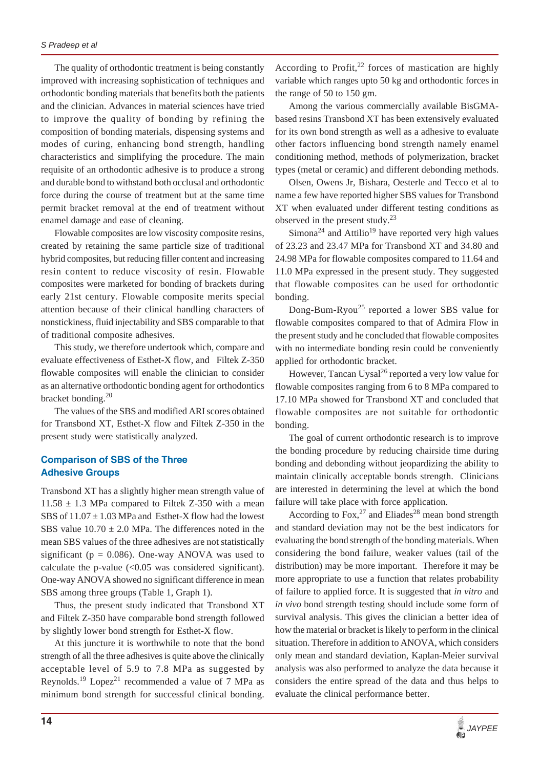The quality of orthodontic treatment is being constantly improved with increasing sophistication of techniques and orthodontic bonding materials that benefits both the patients and the clinician. Advances in material sciences have tried to improve the quality of bonding by refining the composition of bonding materials, dispensing systems and modes of curing, enhancing bond strength, handling characteristics and simplifying the procedure. The main requisite of an orthodontic adhesive is to produce a strong and durable bond to withstand both occlusal and orthodontic force during the course of treatment but at the same time permit bracket removal at the end of treatment without enamel damage and ease of cleaning.

Flowable composites are low viscosity composite resins, created by retaining the same particle size of traditional hybrid composites, but reducing filler content and increasing resin content to reduce viscosity of resin. Flowable composites were marketed for bonding of brackets during early 21st century. Flowable composite merits special attention because of their clinical handling characters of nonstickiness, fluid injectability and SBS comparable to that of traditional composite adhesives.

This study, we therefore undertook which, compare and evaluate effectiveness of Esthet-X flow, and Filtek Z-350 flowable composites will enable the clinician to consider as an alternative orthodontic bonding agent for orthodontics bracket bonding.<sup>20</sup>

The values of the SBS and modified ARI scores obtained for Transbond XT, Esthet-X flow and Filtek Z-350 in the present study were statistically analyzed.

## **Comparison of SBS of the Three Adhesive Groups**

Transbond XT has a slightly higher mean strength value of  $11.58 \pm 1.3$  MPa compared to Filtek Z-350 with a mean SBS of  $11.07 \pm 1.03$  MPa and Esthet-X flow had the lowest SBS value  $10.70 \pm 2.0$  MPa. The differences noted in the mean SBS values of the three adhesives are not statistically significant ( $p = 0.086$ ). One-way ANOVA was used to calculate the p-value  $\langle$  <0.05 was considered significant). One-way ANOVA showed no significant difference in mean SBS among three groups (Table 1, Graph 1).

Thus, the present study indicated that Transbond XT and Filtek Z-350 have comparable bond strength followed by slightly lower bond strength for Esthet-X flow.

At this juncture it is worthwhile to note that the bond strength of all the three adhesives is quite above the clinically acceptable level of 5.9 to 7.8 MPa as suggested by Reynolds.<sup>19</sup> Lopez<sup>21</sup> recommended a value of 7 MPa as minimum bond strength for successful clinical bonding. According to Profit, $^{22}$  forces of mastication are highly variable which ranges upto 50 kg and orthodontic forces in the range of 50 to 150 gm.

Among the various commercially available BisGMAbased resins Transbond XT has been extensively evaluated for its own bond strength as well as a adhesive to evaluate other factors influencing bond strength namely enamel conditioning method, methods of polymerization, bracket types (metal or ceramic) and different debonding methods.

Olsen, Owens Jr, Bishara, Oesterle and Tecco et al to name a few have reported higher SBS values for Transbond XT when evaluated under different testing conditions as observed in the present study. $^{23}$ 

 $Simona<sup>24</sup>$  and Attilio<sup>19</sup> have reported very high values of 23.23 and 23.47 MPa for Transbond XT and 34.80 and 24.98 MPa for flowable composites compared to 11.64 and 11.0 MPa expressed in the present study. They suggested that flowable composites can be used for orthodontic bonding.

Dong-Bum-Ryou<sup>25</sup> reported a lower SBS value for flowable composites compared to that of Admira Flow in the present study and he concluded that flowable composites with no intermediate bonding resin could be conveniently applied for orthodontic bracket.

However, Tancan Uysal<sup>26</sup> reported a very low value for flowable composites ranging from 6 to 8 MPa compared to 17.10 MPa showed for Transbond XT and concluded that flowable composites are not suitable for orthodontic bonding.

The goal of current orthodontic research is to improve the bonding procedure by reducing chairside time during bonding and debonding without jeopardizing the ability to maintain clinically acceptable bonds strength. Clinicians are interested in determining the level at which the bond failure will take place with force application.

According to Fox,  $27$  and Eliades<sup>28</sup> mean bond strength and standard deviation may not be the best indicators for evaluating the bond strength of the bonding materials. When considering the bond failure, weaker values (tail of the distribution) may be more important. Therefore it may be more appropriate to use a function that relates probability of failure to applied force. It is suggested that *in vitro* and *in vivo* bond strength testing should include some form of survival analysis. This gives the clinician a better idea of how the material or bracket is likely to perform in the clinical situation. Therefore in addition to ANOVA, which considers only mean and standard deviation, Kaplan-Meier survival analysis was also performed to analyze the data because it considers the entire spread of the data and thus helps to evaluate the clinical performance better.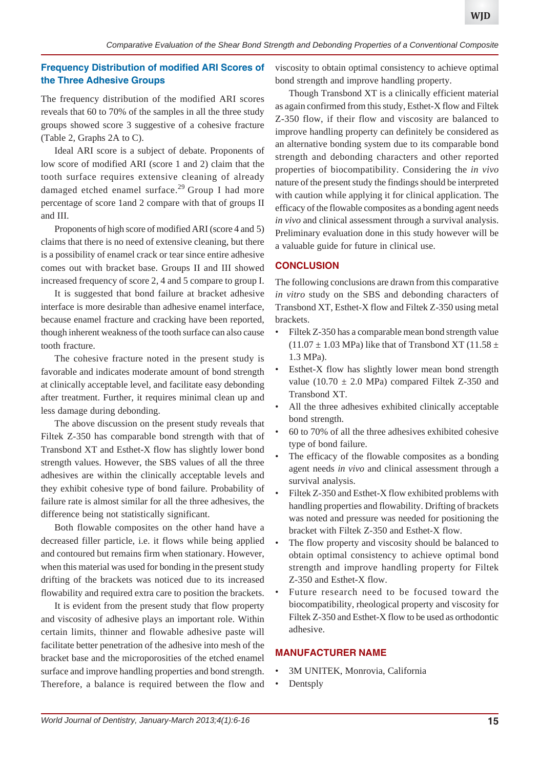# **Frequency Distribution of modified ARI Scores of the Three Adhesive Groups**

The frequency distribution of the modified ARI scores reveals that 60 to 70% of the samples in all the three study groups showed score 3 suggestive of a cohesive fracture (Table 2, Graphs 2A to C).

Ideal ARI score is a subject of debate. Proponents of low score of modified ARI (score 1 and 2) claim that the tooth surface requires extensive cleaning of already damaged etched enamel surface.<sup>29</sup> Group I had more percentage of score 1and 2 compare with that of groups II and III.

Proponents of high score of modified ARI (score 4 and 5) claims that there is no need of extensive cleaning, but there is a possibility of enamel crack or tear since entire adhesive comes out with bracket base. Groups II and III showed increased frequency of score 2, 4 and 5 compare to group I.

It is suggested that bond failure at bracket adhesive interface is more desirable than adhesive enamel interface, because enamel fracture and cracking have been reported, though inherent weakness of the tooth surface can also cause tooth fracture.

The cohesive fracture noted in the present study is favorable and indicates moderate amount of bond strength at clinically acceptable level, and facilitate easy debonding after treatment. Further, it requires minimal clean up and less damage during debonding.

The above discussion on the present study reveals that Filtek Z-350 has comparable bond strength with that of Transbond XT and Esthet-X flow has slightly lower bond strength values. However, the SBS values of all the three adhesives are within the clinically acceptable levels and they exhibit cohesive type of bond failure. Probability of failure rate is almost similar for all the three adhesives, the difference being not statistically significant.

Both flowable composites on the other hand have a decreased filler particle, i.e. it flows while being applied and contoured but remains firm when stationary. However, when this material was used for bonding in the present study drifting of the brackets was noticed due to its increased flowability and required extra care to position the brackets.

It is evident from the present study that flow property and viscosity of adhesive plays an important role. Within certain limits, thinner and flowable adhesive paste will facilitate better penetration of the adhesive into mesh of the bracket base and the microporosities of the etched enamel surface and improve handling properties and bond strength. Therefore, a balance is required between the flow and viscosity to obtain optimal consistency to achieve optimal bond strength and improve handling property.

Though Transbond XT is a clinically efficient material as again confirmed from this study, Esthet-X flow and Filtek Z-350 flow, if their flow and viscosity are balanced to improve handling property can definitely be considered as an alternative bonding system due to its comparable bond strength and debonding characters and other reported properties of biocompatibility. Considering the *in vivo* nature of the present study the findings should be interpreted with caution while applying it for clinical application. The efficacy of the flowable composites as a bonding agent needs *in vivo* and clinical assessment through a survival analysis. Preliminary evaluation done in this study however will be a valuable guide for future in clinical use.

## **CONCLUSION**

The following conclusions are drawn from this comparative *in vitro* study on the SBS and debonding characters of Transbond XT, Esthet-X flow and Filtek Z-350 using metal brackets.

- Filtek Z-350 has a comparable mean bond strength value  $(11.07 \pm 1.03 \text{ MPa})$  like that of Transbond XT (11.58  $\pm$ 1.3 MPa).
- Esthet-X flow has slightly lower mean bond strength value (10.70  $\pm$  2.0 MPa) compared Filtek Z-350 and Transbond XT.
- All the three adhesives exhibited clinically acceptable bond strength.
- 60 to 70% of all the three adhesives exhibited cohesive type of bond failure.
- The efficacy of the flowable composites as a bonding agent needs *in vivo* and clinical assessment through a survival analysis.
- Filtek Z-350 and Esthet-X flow exhibited problems with handling properties and flowability. Drifting of brackets was noted and pressure was needed for positioning the bracket with Filtek Z-350 and Esthet-X flow.
- The flow property and viscosity should be balanced to obtain optimal consistency to achieve optimal bond strength and improve handling property for Filtek Z-350 and Esthet-X flow.
- Future research need to be focused toward the biocompatibility, rheological property and viscosity for Filtek Z-350 and Esthet-X flow to be used as orthodontic adhesive.

## **MANUFACTURER NAME**

- 3M UNITEK, Monrovia, California
- Dentsply